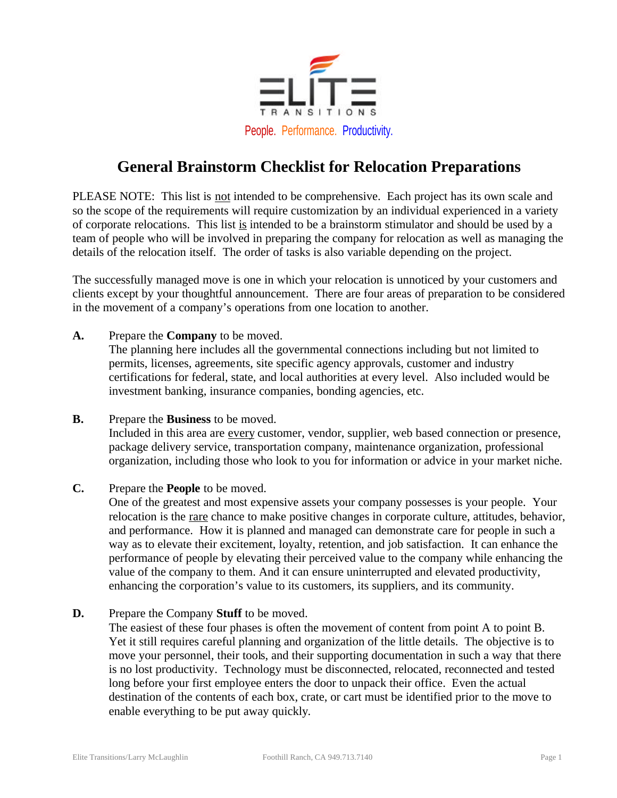

## **General Brainstorm Checklist for Relocation Preparations**

PLEASE NOTE: This list is not intended to be comprehensive. Each project has its own scale and so the scope of the requirements will require customization by an individual experienced in a variety of corporate relocations. This list is intended to be a brainstorm stimulator and should be used by a team of people who will be involved in preparing the company for relocation as well as managing the details of the relocation itself. The order of tasks is also variable depending on the project.

The successfully managed move is one in which your relocation is unnoticed by your customers and clients except by your thoughtful announcement. There are four areas of preparation to be considered in the movement of a company's operations from one location to another.

**A.** Prepare the **Company** to be moved.

The planning here includes all the governmental connections including but not limited to permits, licenses, agreements, site specific agency approvals, customer and industry certifications for federal, state, and local authorities at every level. Also included would be investment banking, insurance companies, bonding agencies, etc.

- **B.** Prepare the **Business** to be moved. Included in this area are every customer, vendor, supplier, web based connection or presence, package delivery service, transportation company, maintenance organization, professional organization, including those who look to you for information or advice in your market niche.
- **C.** Prepare the **People** to be moved.

One of the greatest and most expensive assets your company possesses is your people. Your relocation is the rare chance to make positive changes in corporate culture, attitudes, behavior, and performance. How it is planned and managed can demonstrate care for people in such a way as to elevate their excitement, loyalty, retention, and job satisfaction. It can enhance the performance of people by elevating their perceived value to the company while enhancing the value of the company to them. And it can ensure uninterrupted and elevated productivity, enhancing the corporation's value to its customers, its suppliers, and its community.

**D.** Prepare the Company **Stuff** to be moved.

The easiest of these four phases is often the movement of content from point A to point B. Yet it still requires careful planning and organization of the little details. The objective is to move your personnel, their tools, and their supporting documentation in such a way that there is no lost productivity. Technology must be disconnected, relocated, reconnected and tested long before your first employee enters the door to unpack their office. Even the actual destination of the contents of each box, crate, or cart must be identified prior to the move to enable everything to be put away quickly.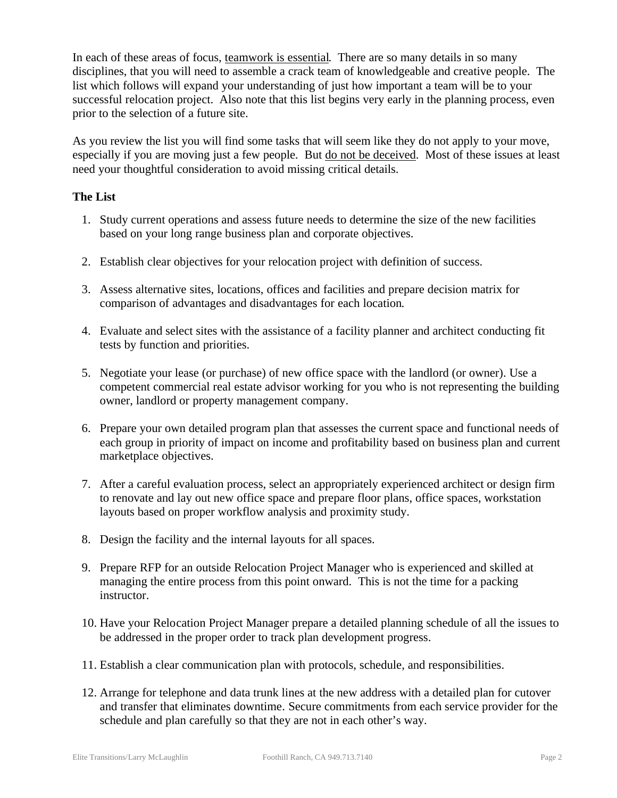In each of these areas of focus, teamwork is essential. There are so many details in so many disciplines, that you will need to assemble a crack team of knowledgeable and creative people. The list which follows will expand your understanding of just how important a team will be to your successful relocation project. Also note that this list begins very early in the planning process, even prior to the selection of a future site.

As you review the list you will find some tasks that will seem like they do not apply to your move, especially if you are moving just a few people. But do not be deceived. Most of these issues at least need your thoughtful consideration to avoid missing critical details.

## **The List**

- 1. Study current operations and assess future needs to determine the size of the new facilities based on your long range business plan and corporate objectives.
- 2. Establish clear objectives for your relocation project with definition of success.
- 3. Assess alternative sites, locations, offices and facilities and prepare decision matrix for comparison of advantages and disadvantages for each location.
- 4. Evaluate and select sites with the assistance of a facility planner and architect conducting fit tests by function and priorities.
- 5. Negotiate your lease (or purchase) of new office space with the landlord (or owner). Use a competent commercial real estate advisor working for you who is not representing the building owner, landlord or property management company.
- 6. Prepare your own detailed program plan that assesses the current space and functional needs of each group in priority of impact on income and profitability based on business plan and current marketplace objectives.
- 7. After a careful evaluation process, select an appropriately experienced architect or design firm to renovate and lay out new office space and prepare floor plans, office spaces, workstation layouts based on proper workflow analysis and proximity study.
- 8. Design the facility and the internal layouts for all spaces.
- 9. Prepare RFP for an outside Relocation Project Manager who is experienced and skilled at managing the entire process from this point onward. This is not the time for a packing instructor.
- 10. Have your Relocation Project Manager prepare a detailed planning schedule of all the issues to be addressed in the proper order to track plan development progress.
- 11. Establish a clear communication plan with protocols, schedule, and responsibilities.
- 12. Arrange for telephone and data trunk lines at the new address with a detailed plan for cutover and transfer that eliminates downtime. Secure commitments from each service provider for the schedule and plan carefully so that they are not in each other's way.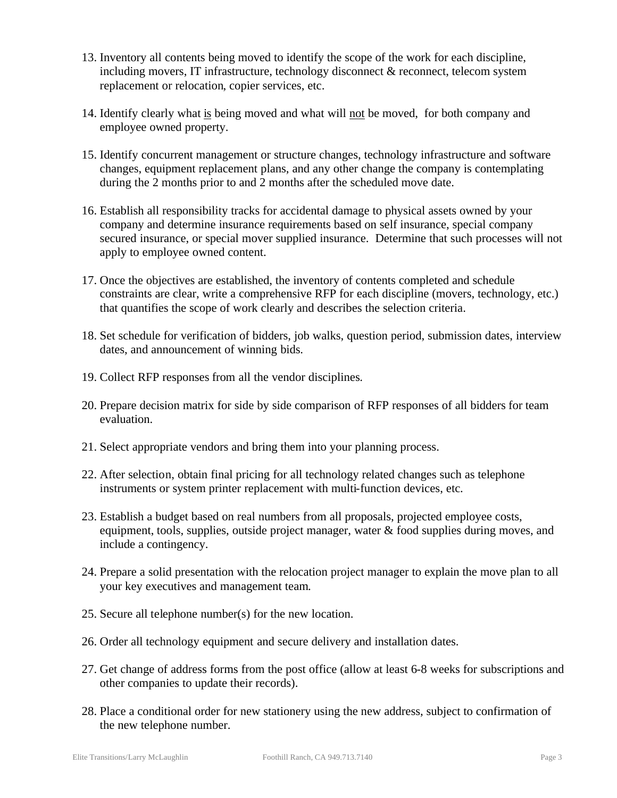- 13. Inventory all contents being moved to identify the scope of the work for each discipline, including movers, IT infrastructure, technology disconnect & reconnect, telecom system replacement or relocation, copier services, etc.
- 14. Identify clearly what is being moved and what will not be moved, for both company and employee owned property.
- 15. Identify concurrent management or structure changes, technology infrastructure and software changes, equipment replacement plans, and any other change the company is contemplating during the 2 months prior to and 2 months after the scheduled move date.
- 16. Establish all responsibility tracks for accidental damage to physical assets owned by your company and determine insurance requirements based on self insurance, special company secured insurance, or special mover supplied insurance. Determine that such processes will not apply to employee owned content.
- 17. Once the objectives are established, the inventory of contents completed and schedule constraints are clear, write a comprehensive RFP for each discipline (movers, technology, etc.) that quantifies the scope of work clearly and describes the selection criteria.
- 18. Set schedule for verification of bidders, job walks, question period, submission dates, interview dates, and announcement of winning bids.
- 19. Collect RFP responses from all the vendor disciplines.
- 20. Prepare decision matrix for side by side comparison of RFP responses of all bidders for team evaluation.
- 21. Select appropriate vendors and bring them into your planning process.
- 22. After selection, obtain final pricing for all technology related changes such as telephone instruments or system printer replacement with multi-function devices, etc.
- 23. Establish a budget based on real numbers from all proposals, projected employee costs, equipment, tools, supplies, outside project manager, water & food supplies during moves, and include a contingency.
- 24. Prepare a solid presentation with the relocation project manager to explain the move plan to all your key executives and management team.
- 25. Secure all telephone number(s) for the new location.
- 26. Order all technology equipment and secure delivery and installation dates.
- 27. Get change of address forms from the post office (allow at least 6-8 weeks for subscriptions and other companies to update their records).
- 28. Place a conditional order for new stationery using the new address, subject to confirmation of the new telephone number.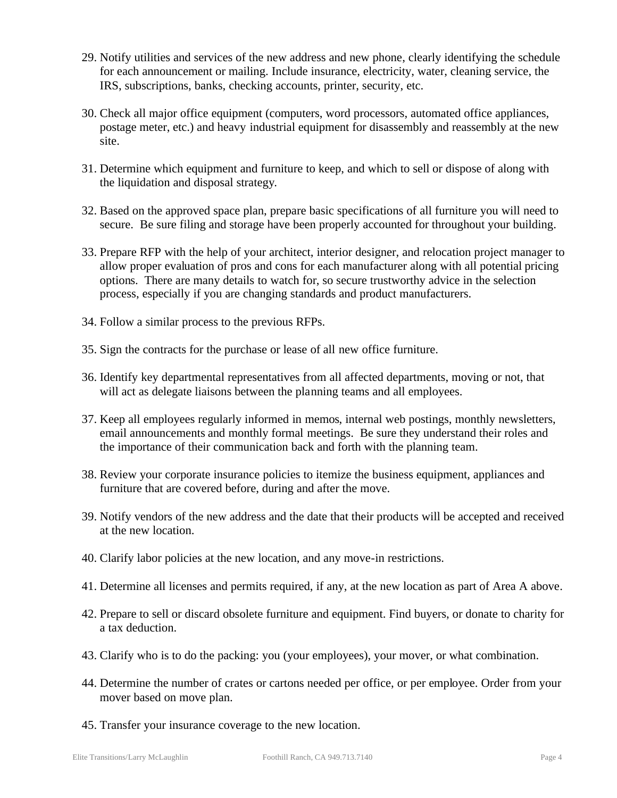- 29. Notify utilities and services of the new address and new phone, clearly identifying the schedule for each announcement or mailing. Include insurance, electricity, water, cleaning service, the IRS, subscriptions, banks, checking accounts, printer, security, etc.
- 30. Check all major office equipment (computers, word processors, automated office appliances, postage meter, etc.) and heavy industrial equipment for disassembly and reassembly at the new site.
- 31. Determine which equipment and furniture to keep, and which to sell or dispose of along with the liquidation and disposal strategy.
- 32. Based on the approved space plan, prepare basic specifications of all furniture you will need to secure. Be sure filing and storage have been properly accounted for throughout your building.
- 33. Prepare RFP with the help of your architect, interior designer, and relocation project manager to allow proper evaluation of pros and cons for each manufacturer along with all potential pricing options. There are many details to watch for, so secure trustworthy advice in the selection process, especially if you are changing standards and product manufacturers.
- 34. Follow a similar process to the previous RFPs.
- 35. Sign the contracts for the purchase or lease of all new office furniture.
- 36. Identify key departmental representatives from all affected departments, moving or not, that will act as delegate liaisons between the planning teams and all employees.
- 37. Keep all employees regularly informed in memos, internal web postings, monthly newsletters, email announcements and monthly formal meetings. Be sure they understand their roles and the importance of their communication back and forth with the planning team.
- 38. Review your corporate insurance policies to itemize the business equipment, appliances and furniture that are covered before, during and after the move.
- 39. Notify vendors of the new address and the date that their products will be accepted and received at the new location.
- 40. Clarify labor policies at the new location, and any move-in restrictions.
- 41. Determine all licenses and permits required, if any, at the new location as part of Area A above.
- 42. Prepare to sell or discard obsolete furniture and equipment. Find buyers, or donate to charity for a tax deduction.
- 43. Clarify who is to do the packing: you (your employees), your mover, or what combination.
- 44. Determine the number of crates or cartons needed per office, or per employee. Order from your mover based on move plan.
- 45. Transfer your insurance coverage to the new location.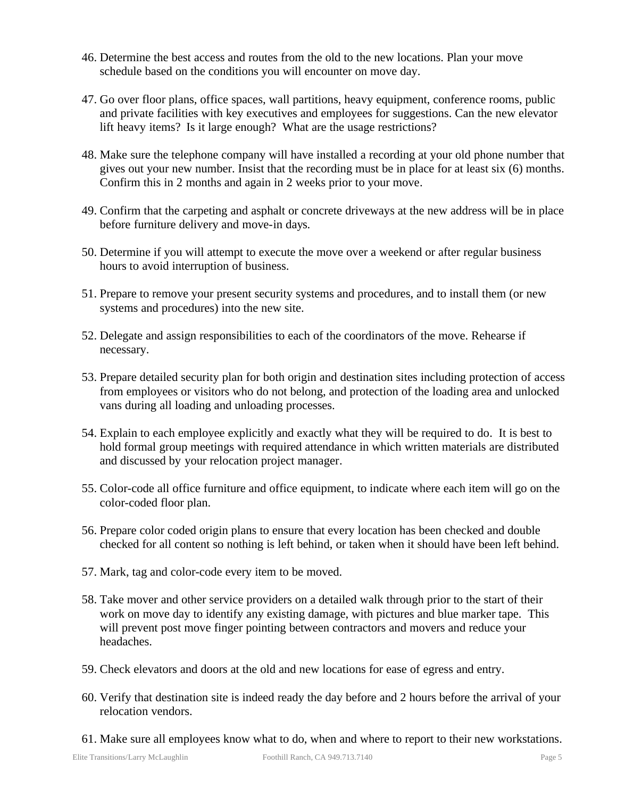- 46. Determine the best access and routes from the old to the new locations. Plan your move schedule based on the conditions you will encounter on move day.
- 47. Go over floor plans, office spaces, wall partitions, heavy equipment, conference rooms, public and private facilities with key executives and employees for suggestions. Can the new elevator lift heavy items? Is it large enough? What are the usage restrictions?
- 48. Make sure the telephone company will have installed a recording at your old phone number that gives out your new number. Insist that the recording must be in place for at least six (6) months. Confirm this in 2 months and again in 2 weeks prior to your move.
- 49. Confirm that the carpeting and asphalt or concrete driveways at the new address will be in place before furniture delivery and move-in days.
- 50. Determine if you will attempt to execute the move over a weekend or after regular business hours to avoid interruption of business.
- 51. Prepare to remove your present security systems and procedures, and to install them (or new systems and procedures) into the new site.
- 52. Delegate and assign responsibilities to each of the coordinators of the move. Rehearse if necessary.
- 53. Prepare detailed security plan for both origin and destination sites including protection of access from employees or visitors who do not belong, and protection of the loading area and unlocked vans during all loading and unloading processes.
- 54. Explain to each employee explicitly and exactly what they will be required to do. It is best to hold formal group meetings with required attendance in which written materials are distributed and discussed by your relocation project manager.
- 55. Color-code all office furniture and office equipment, to indicate where each item will go on the color-coded floor plan.
- 56. Prepare color coded origin plans to ensure that every location has been checked and double checked for all content so nothing is left behind, or taken when it should have been left behind.
- 57. Mark, tag and color-code every item to be moved.
- 58. Take mover and other service providers on a detailed walk through prior to the start of their work on move day to identify any existing damage, with pictures and blue marker tape. This will prevent post move finger pointing between contractors and movers and reduce your headaches.
- 59. Check elevators and doors at the old and new locations for ease of egress and entry.
- 60. Verify that destination site is indeed ready the day before and 2 hours before the arrival of your relocation vendors.
- 61. Make sure all employees know what to do, when and where to report to their new workstations.